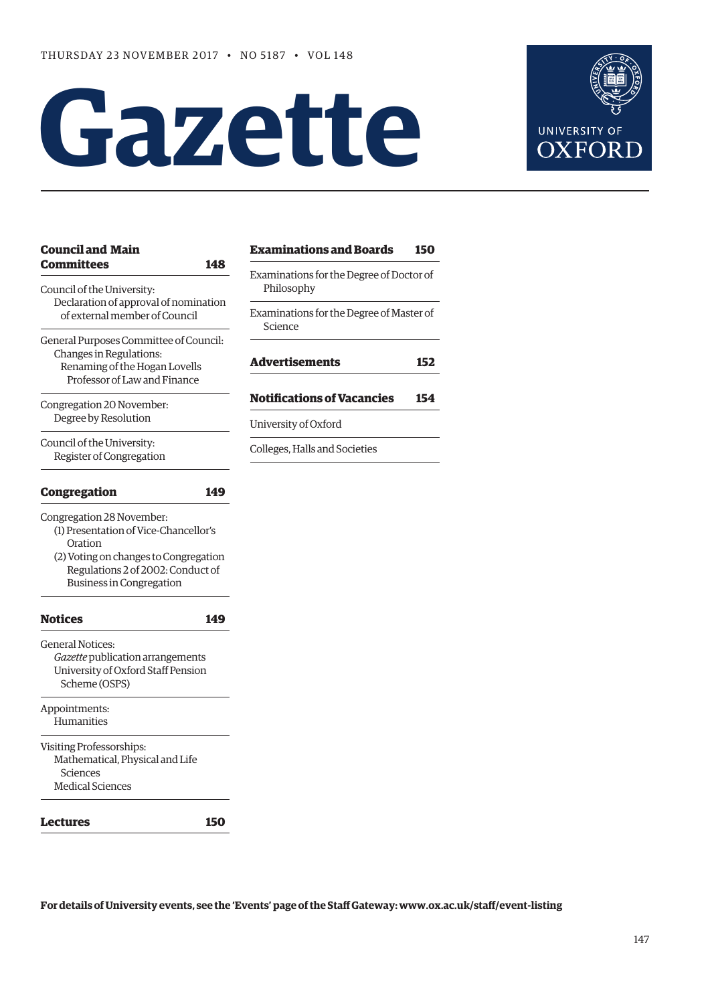# **Gazette**



| <b>Council and Main</b><br><b>Committees</b>                                                                                                                                                   |     | <b>Examinations and Boards</b>                         | 150 |
|------------------------------------------------------------------------------------------------------------------------------------------------------------------------------------------------|-----|--------------------------------------------------------|-----|
| 148<br>Council of the University:<br>Declaration of approval of nomination<br>of external member of Council                                                                                    |     | Examinations for the Degree of Doctor of<br>Philosophy |     |
|                                                                                                                                                                                                |     | Examinations for the Degree of Master of<br>Science    |     |
| General Purposes Committee of Council:<br>Changes in Regulations:<br>Renaming of the Hogan Lovells<br>Professor of Law and Finance                                                             |     | <b>Advertisements</b>                                  | 152 |
| Congregation 20 November:<br>Degree by Resolution                                                                                                                                              |     | <b>Notifications of Vacancies</b>                      | 154 |
|                                                                                                                                                                                                |     | University of Oxford                                   |     |
| Council of the University:<br>Register of Congregation                                                                                                                                         |     | Colleges, Halls and Societies                          |     |
| Congregation                                                                                                                                                                                   | 149 |                                                        |     |
| Congregation 28 November:<br>(1) Presentation of Vice-Chancellor's<br>Oration<br>(2) Voting on changes to Congregation<br>Regulations 2 of 2002: Conduct of<br><b>Business in Congregation</b> |     |                                                        |     |
| <b>Notices</b>                                                                                                                                                                                 | 149 |                                                        |     |
| <b>General Notices:</b><br>Gazette publication arrangements<br>University of Oxford Staff Pension<br>Scheme (OSPS)                                                                             |     |                                                        |     |
| Appointments:<br><b>Humanities</b>                                                                                                                                                             |     |                                                        |     |
| Visiting Professorships:<br>Mathematical, Physical and Life<br><b>Sciences</b><br><b>Medical Sciences</b>                                                                                      |     |                                                        |     |
| Lectures                                                                                                                                                                                       | 150 |                                                        |     |

**For details of University events, see the 'Events' page of the Staf Gateway: [www.ox.ac.uk/staf/event-listing](http://www.ox.ac.uk/staff/event-listing)**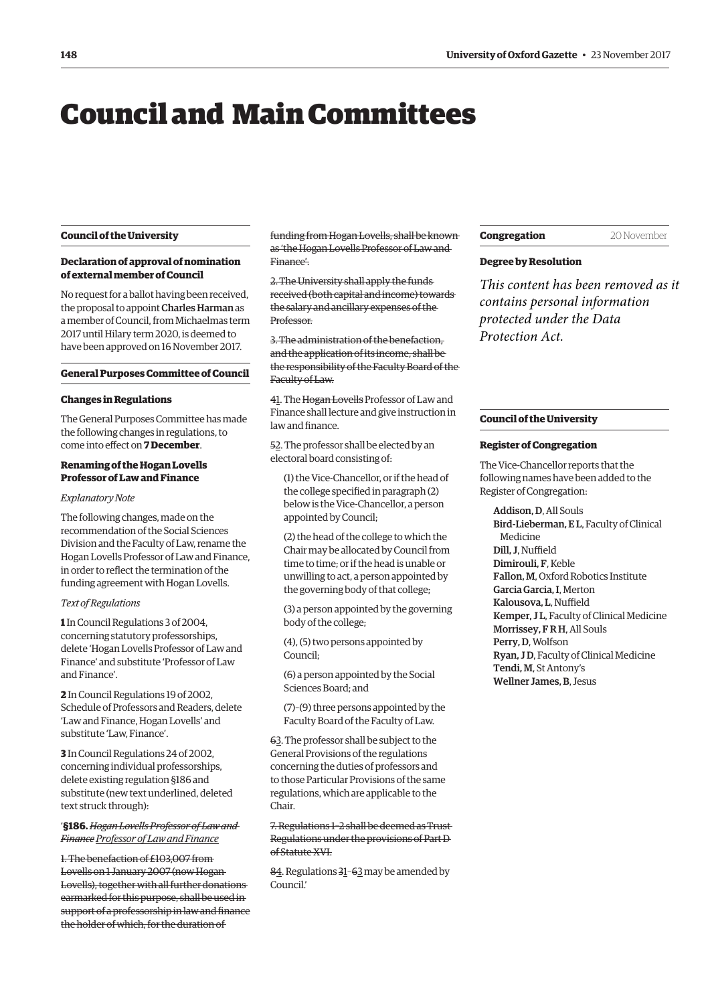## <span id="page-1-0"></span>Council and Main Committees

#### **Council of the University**

#### **Declaration of approval of nomination of external member of Council**

No request for a ballot having been received, the proposal to appoint Charles Harman as a member of Council, from Michaelmas term 2017 until Hilary term 2020, is deemed to have been approved on 16 November 2017.

#### **General Purposes Committee of Council**

#### **Changes in Regulations**

The General Purposes Committee has made the following changes in regulations, to come into efect on **7 December**.

#### **Renaming of the Hogan Lovells Professor of Law and Finance**

#### *Explanatory Note*

The following changes, made on the recommendation of the Social Sciences Division and the Faculty of Law, rename the Hogan Lovells Professor of Law and Finance, in order to refect the termination of the funding agreement with Hogan Lovells.

#### *Text of Regulations*

**1** In Council Regulations 3 of 2004, concerning statutory professorships, delete 'Hogan Lovells Professor of Law and Finance' and substitute 'Professor of Law and Finance'.

**2** In Council Regulations 19 of 2002, Schedule of Professors and Readers, delete 'Law and Finance, Hogan Lovells' and substitute 'Law, Finance'.

**3** In Council Regulations 24 of 2002, concerning individual professorships, delete existing regulation §186 and substitute (new text underlined, deleted text struck through):

#### '**§186.** *Hogan Lovells Professor of Law and Finance Professor of Law and Finance*

1. The benefaction of £103,007 from Lovells on 1 January 2007 (now Hogan Lovells), together with all further donations earmarked for this purpose, shall be used in support of a professorship in law and finance the holder of which, for the duration of

funding from Hogan Lovells, shall be known as 'the Hogan Lovells Professor of Law and Finance'.

2. The University shall apply the funds received (both capital and income) towards the salary and ancillary expenses of the Professor.

3. The administration of the benefaction, and the application of its income, shall be the responsibility of the Faculty Board of the Faculty of Law.

41. The Hogan Lovells Professor of Law and Finance shall lecture and give instruction in law and finance.

52. The professor shall be elected by an electoral board consisting of:

(1) the Vice-Chancellor, or if the head of the college specifed in paragraph (2) below is the Vice-Chancellor, a person appointed by Council;

(2) the head of the college to which the Chair may be allocated by Council from time to time; or if the head is unable or unwilling to act, a person appointed by the governing body of that college;

(3) a person appointed by the governing body of the college;

(4), (5) two persons appointed by Council;

(6) a person appointed by the Social Sciences Board; and

(7)–(9) three persons appointed by the Faculty Board of the Faculty of Law.

63. The professor shall be subject to the General Provisions of the regulations concerning the duties of professors and to those Particular Provisions of the same regulations, which are applicable to the Chair.

#### 7. Regulations 1–2 shall be deemed as Trust Regulations under the provisions of Part D of Statute XVI.

84. Regulations 31–63 may be amended by Council.'

#### **Congregation** 20 November

#### **Degree by Resolution**

*This content has been removed as it contains personal information protected under the Data Protection Act.*

#### **Council of the University**

#### **Register of Congregation**

The Vice-Chancellor reports that the following names have been added to the Register of Congregation:

Addison, D, All Souls Bird-Lieberman, E L, Faculty of Clinical Medicine Dill, J. Nuffield Dimirouli, F, Keble Fallon, M, Oxford Robotics Institute Garcia Garcia, I, Merton Kalousova, L, Nuffield Kemper, J L, Faculty of Clinical Medicine Morrissey, F R H, All Souls Perry, D, Wolfson Ryan, J D, Faculty of Clinical Medicine Tendi, M, St Antony's Wellner James, B, Jesus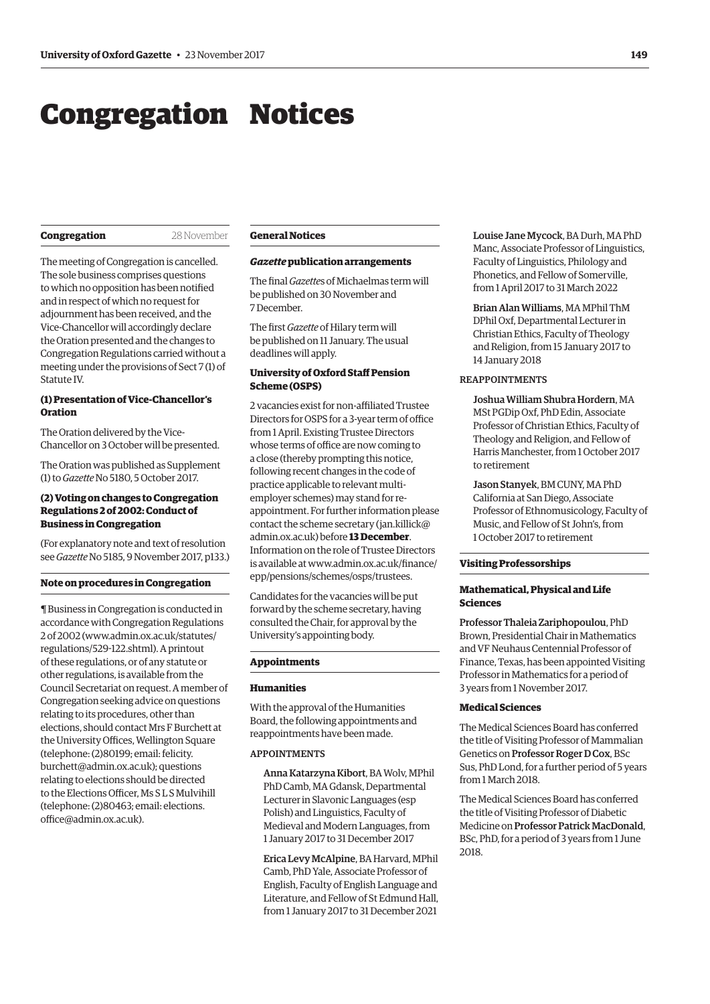## <span id="page-2-0"></span>Congregation Notices

#### **Congregation 28 November**

The meeting of Congregation is cancelled. The sole business comprises questions to which no opposition has been notifed and in respect of which no request for adjournment has been received, and the Vice-Chancellor will accordingly declare the Oration presented and the changes to Congregation Regulations carried without a meeting under the provisions of Sect 7 (1) of Statute IV.

#### **(1) Presentation of Vice-Chancellor's Oration**

The Oration delivered by the Vice-Chancellor on 3 October will be presented.

[The Oration was published as Supplement](http://www.ox.ac.uk/media/global/wwwoxacuk/localsites/gazette/documents/supplements2017-18/Vice-Chancellor)  (1) to *Gazette* No 5180, 5 October 2017.

#### **(2) Voting on changes to Congregation Regulations 2 of 2002: Conduct of Business in Congregation**

(For explanatory note and text of resolution see *Gazette* [No 5185, 9 November 2017, p133.](http://www.ox.ac.uk/gazette/2017-2018/9november2017-no5185/congregation/#262396))

#### **Note on procedures in Congregation**

¶ Business in Congregation is conducted in accordance with Congregation Regulations 2 of 2002 [\(www.admin.ox.ac.uk/statutes/](http://www.admin.ox.ac.uk/statutes/regulations/529-122.shtml)  [regulations/529-122.shtml\). A](http://www.admin.ox.ac.uk/statutes/regulations/529-122.shtml) printout of these regulations, or of any statute or other regulations, is available from the Council Secretariat on request. A member of Congregation seeking advice on questions relating to its procedures, other than elections, should contact Mrs F Burchett at the University Offices. Wellington Square (telephone: (2)80199; email: felicity. [burchett@admin.ox.ac.uk\); questions](mailto:felicity.burchett@admin.ox.ac.uk)  relating to elections should be directed to the Elections Officer, Ms SLS Mulvihill [\(telephone: \(2\)80463; email: elections.](mailto:elections.office@admin.ox.ac.uk)  office@admin.ox.ac.uk).

#### **General Notices**

#### *Gazette* **publication arrangements**

The fnal *Gazette*s of Michaelmas term will be published on 30 November and 7 December.

The frst *Gazette* of Hilary term will be published on 11 January. The usual deadlines will apply.

#### **University of Oxford Staf Pension Scheme (OSPS)**

2 vacancies exist for non-afliated Trustee Directors for OSPS for a 3-year term of office from 1 April. Existing Trustee Directors whose terms of office are now coming to a close (thereby prompting this notice, following recent changes in the code of practice applicable to relevant multiemployer schemes) may stand for reappointment. For further information please contact the scheme secretary ([jan.killick@](mailto:jan.killick@admin.ox.ac.uk)  [admin.ox.ac.uk\) be](mailto:jan.killick@admin.ox.ac.uk)fore **13 December**. Information on the role of Trustee Directors [is available at www.admin.ox.ac.uk/fnance/](www.admin.ox.ac.uk/finance/epp/pensions/schemes/osps/trustees)  epp/pensions/schemes/osps/trustees.

Candidates for the vacancies will be put forward by the scheme secretary, having consulted the Chair, for approval by the University's appointing body.

#### **Appointments**

#### **Humanities**

With the approval of the Humanities Board, the following appointments and reappointments have been made.

#### APPOINTMENTS

Anna Katarzyna Kibort, BA Wolv, MPhil PhD Camb, MA Gdansk, Departmental Lecturer in Slavonic Languages (esp Polish) and Linguistics, Faculty of Medieval and Modern Languages, from 1 January 2017 to 31 December 2017

Erica Levy McAlpine, BA Harvard, MPhil Camb, PhD Yale, Associate Professor of English, Faculty of English Language and Literature, and Fellow of St Edmund Hall, from 1 January 2017 to 31 December 2021

Louise Jane Mycock, BA Durh, MA PhD Manc, Associate Professor of Linguistics, Faculty of Linguistics, Philology and Phonetics, and Fellow of Somerville, from 1 April 2017 to 31 March 2022

Brian Alan Williams, MA MPhil ThM DPhil Oxf, Departmental Lecturer in Christian Ethics, Faculty of Theology and Religion, from 15 January 2017 to 14 January 2018

#### REAPPOINTMENTS

Joshua William Shubra Hordern, MA MSt PGDip Oxf, PhD Edin, Associate Professor of Christian Ethics, Faculty of Theology and Religion, and Fellow of Harris Manchester, from 1 October 2017 to retirement

Jason Stanyek, BM CUNY, MA PhD California at San Diego, Associate Professor of Ethnomusicology, Faculty of Music, and Fellow of St John's, from 1 October 2017 to retirement

#### **Visiting Professorships**

#### **Mathematical, Physical and Life Sciences**

Professor Thaleia Zariphopoulou, PhD Brown, Presidential Chair in Mathematics and VF Neuhaus Centennial Professor of Finance, Texas, has been appointed Visiting Professor in Mathematics for a period of 3 years from 1 November 2017.

#### **Medical Sciences**

The Medical Sciences Board has conferred the title of Visiting Professor of Mammalian Genetics on Professor Roger D Cox, BSc Sus, PhD Lond, for a further period of 5 years from 1 March 2018.

The Medical Sciences Board has conferred the title of Visiting Professor of Diabetic Medicine on Professor Patrick MacDonald, BSc, PhD, for a period of 3 years from 1 June 2018.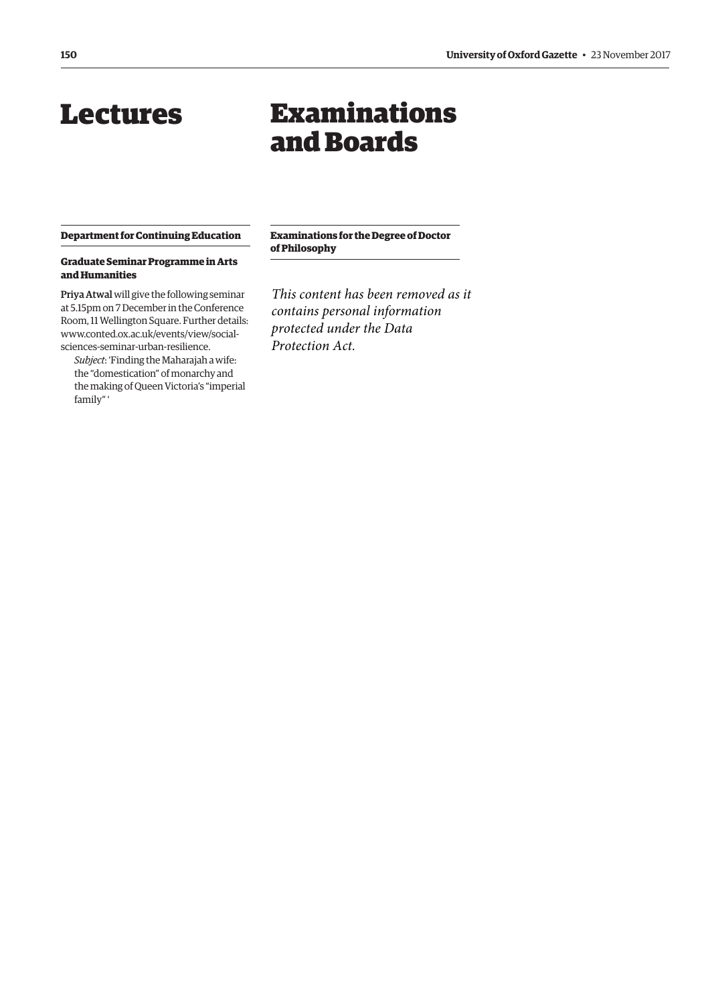## <span id="page-3-0"></span>Lectures

## Examinations and Boards

#### **Department for Continuing Education**

#### **Graduate Seminar Programme in Arts and Humanities**

Priya Atwal will give the following seminar at 5.15pm on 7 December in the Conference Room, 11 Wellington Square. Further details: [www.conted.ox.ac.uk/events/view/social](www.conted.ox.ac.uk/events/view/social-sciences-seminar-urban-resilience)sciences-seminar-urban-resilience.

*Subject*: 'Finding the Maharajah a wife: the "domestication" of monarchy and the making of Queen Victoria's "imperial family" '

**Examinations for the Degree of Doctor of Philosophy** 

*This content has been removed as it contains personal information protected under the Data Protection Act.*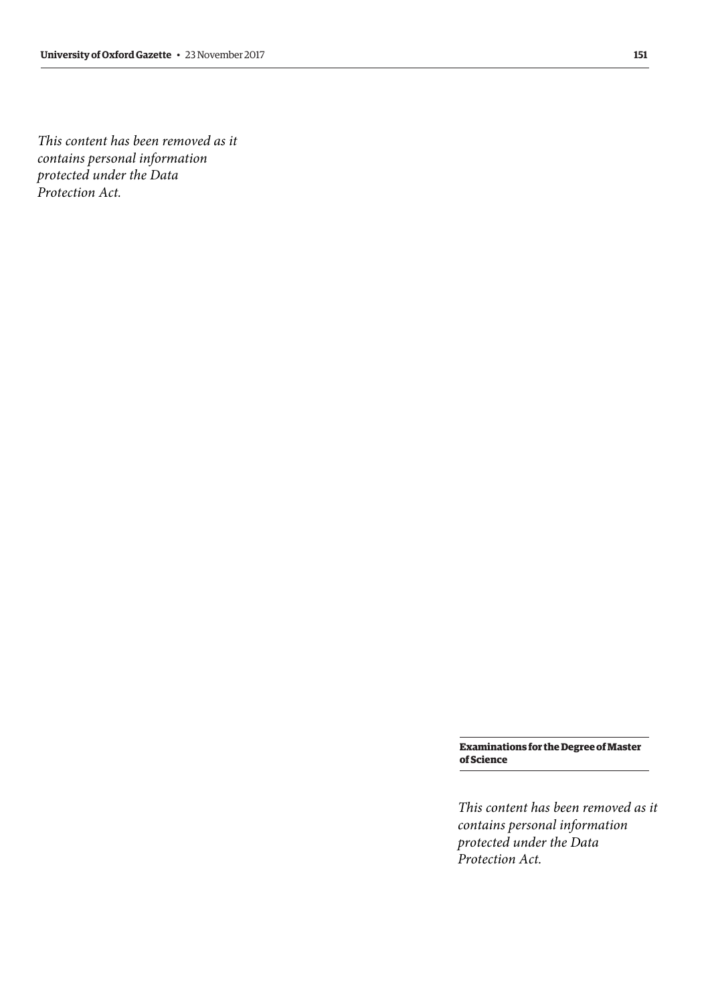*contains personal information This content has been removed as it protected under the Data Protection Act.*

> **Examinations for the Degree of Master of Science**

*This content has been removed as it contains personal information protected under the Data Protection Act.*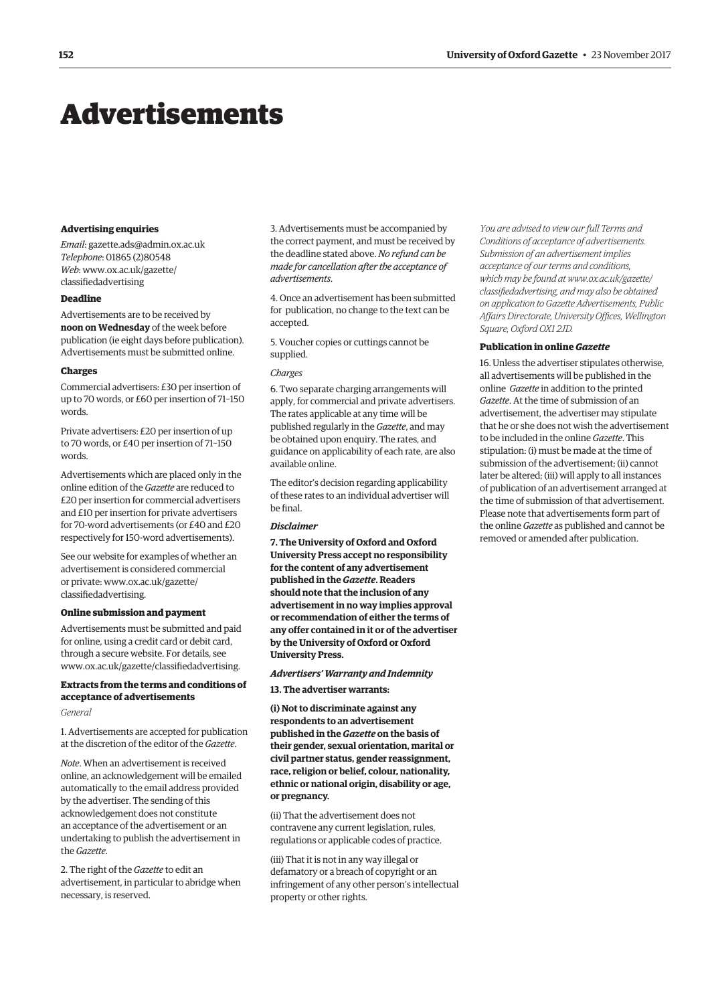## <span id="page-5-0"></span>Advertisements

#### **Advertising enquiries**

*Email*: [gazette.ads@admin.ox.ac.uk](mailto:gazette.ads@admin.ox.ac.uk)  *Telephone*: 01865 (2)80548 *Web*[: www.ox.ac.uk/gazette/](www.ox.ac.uk/gazette/classifiedadvertising)  classifedadvertising

#### **Deadline**

Advertisements are to be received by **noon on Wednesday** of the week before publication (ie eight days before publication). Advertisements must be submitted online.

#### **Charges**

Commercial advertisers: £30 per insertion of up to 70 words, or £60 per insertion of 71–150 words.

Private advertisers: £20 per insertion of up to 70 words, or £40 per insertion of 71–150 words.

Advertisements which are placed only in the online edition of the *Gazette* are reduced to £20 per insertion for commercial advertisers and £10 per insertion for private advertisers for 70-word advertisements (or £40 and £20 respectively for 150-word advertisements).

See our website for examples of whether an advertisement is considered commercial [or private: www.ox.ac.uk/gazette/](www.ox.ac.uk/gazette/classifiedadvertising)  classifedadvertising.

#### **Online submission and payment**

Advertisements must be submitted and paid for online, using a credit card or debit card, through a secure website. For details, see [www.ox.ac.uk/gazette/classifedadvertising.](http://www.ox.ac.uk/gazette/classifiedadvertising) 

#### **Extracts from the terms and conditions of acceptance of advertisements**

#### *General*

1. Advertisements are accepted for publication at the discretion of the editor of the *Gazette*.

*Note*. When an advertisement is received online, an acknowledgement will be emailed automatically to the email address provided by the advertiser. The sending of this acknowledgement does not constitute an acceptance of the advertisement or an undertaking to publish the advertisement in the *Gazette*.

2. The right of the *Gazette* to edit an advertisement, in particular to abridge when necessary, is reserved.

3. Advertisements must be accompanied by the correct payment, and must be received by the deadline stated above. *No refund can be made for cancellation after the acceptance of advertisements*.

4. Once an advertisement has been submitted for publication, no change to the text can be accepted.

5. Voucher copies or cuttings cannot be supplied.

#### *Charges*

6. Two separate charging arrangements will apply, for commercial and private advertisers. The rates applicable at any time will be published regularly in the *Gazette*, and may be obtained upon enquiry. The rates, and guidance on applicability of each rate, are also available online.

The editor's decision regarding applicability of these rates to an individual advertiser will be fnal.

#### *Disclaimer*

**7. The University of Oxford and Oxford University Press accept no responsibility for the content of any advertisement published in the** *Gazette***. Readers should note that the inclusion of any advertisement in no way implies approval or recommendation of either the terms of any offer contained in it or of the advertiser by the University of Oxford or Oxford University Press.** 

### *Advertisers' Warranty and Indemnity*

**13. The advertiser warrants:** 

**(i) Not to discriminate against any respondents to an advertisement published in the** *Gazette* **on the basis of their gender, sexual orientation, marital or civil partner status, gender reassignment, race, religion or belief, colour, nationality, ethnic or national origin, disability or age, or pregnancy.** 

(ii) That the advertisement does not contravene any current legislation, rules, regulations or applicable codes of practice.

(iii) That it is not in any way illegal or defamatory or a breach of copyright or an infringement of any other person's intellectual property or other rights.

*You are advised to view our full Terms and Conditions of acceptance of advertisements. Submission of an advertisement implies acceptance of our terms and conditions, which may be found at www.ox.ac.uk/gazette/ [classifedadvertising, and may also be obtained](www.ox.ac.uk/gazette/classifiedadvertising)  on application to Gazette Advertisements, Public Affairs Directorate, University Offces, Wellington Square, Oxford OX1 2JD.* 

#### **Publication in online** *Gazette*

16. Unless the advertiser stipulates otherwise, all advertisements will be published in the online *Gazette* in addition to the printed *Gazette*. At the time of submission of an advertisement, the advertiser may stipulate that he or she does not wish the advertisement to be included in the online *Gazette*. This stipulation: (i) must be made at the time of submission of the advertisement; (ii) cannot later be altered; (iii) will apply to all instances of publication of an advertisement arranged at the time of submission of that advertisement. Please note that advertisements form part of the online *Gazette* as published and cannot be removed or amended after publication.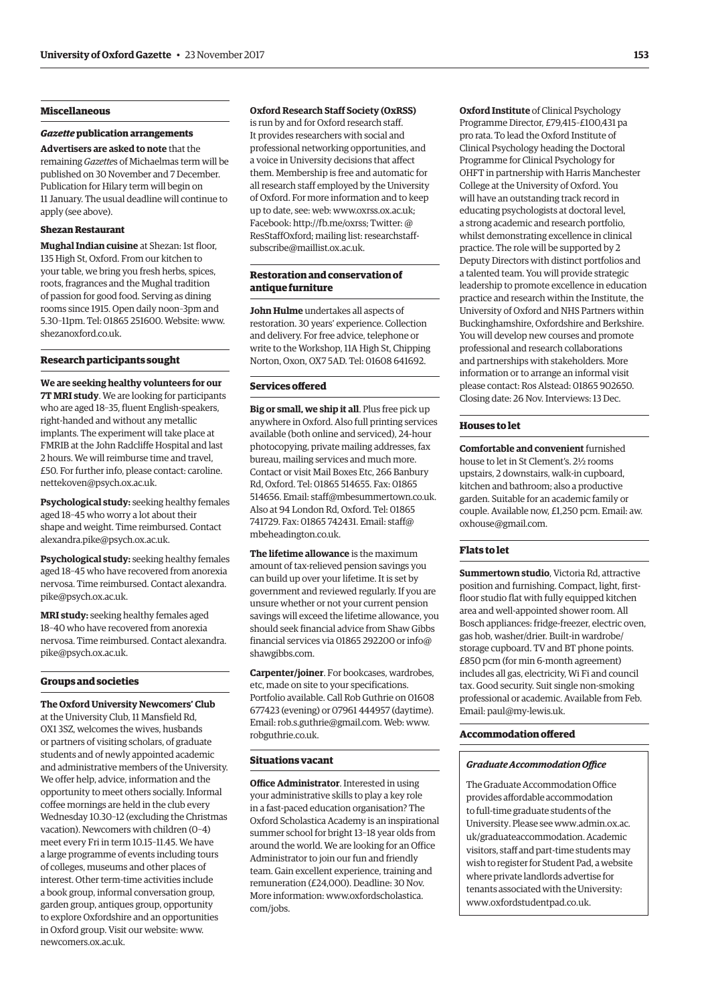#### **Miscellaneous**

#### *Gazette* **publication arrangements**

**Advertisers are asked to note** that the remaining *Gazette*s of Michaelmas term will be published on 30 November and 7 December. Publication for Hilary term will begin on 11 January. The usual deadline will continue to apply (see above).

#### **Shezan Restaurant**

**Mughal Indian cuisine** at Shezan: 1st floor, 135 High St, Oxford. From our kitchen to your table, we bring you fresh herbs, spices, roots, fragrances and the Mughal tradition of passion for good food. Serving as dining rooms since 1915. Open daily noon–3pm and 5.30–11pm. Tel: 01865 251600. Website: [www.](http://www.shezanoxford.co.uk)  [shezanoxford.co.uk.](http://www.shezanoxford.co.uk) 

#### **Research participants sought**

**We are seeking healthy volunteers for our 7T MRI study**. We are looking for participants who are aged 18–35, fluent English-speakers, right-handed and without any metallic implants. The experiment will take place at FMRIB at the John Radcliffe Hospital and last 2 hours. We will reimburse time and travel, [£50. For further info, please contact: caroline.](mailto:caroline.nettekoven@psych.ox.ac.uk)  nettekoven@psych.ox.ac.uk.

**Psychological study:** seeking healthy females aged 18–45 who worry a lot about their shape and weight. Time reimbursed. Contact [alexandra.pike@psych.ox.ac.uk.](mailto:alexandra.pike@psych.ox.ac.uk) 

**Psychological study:** seeking healthy females aged 18–45 who have recovered from anorexia [nervosa. Time reimbursed. Contact alexandra.](mailto:alexandra.pike@psych.ox.ac.uk)  pike@psych.ox.ac.uk.

**MRI study:** seeking healthy females aged 18–40 who have recovered from anorexia [nervosa. Time reimbursed. Contact alexandra.](mailto:alexandra.pike@psych.ox.ac.uk)  pike@psych.ox.ac.uk.

#### **Groups and societies**

[newcomers.ox.ac.uk.](http://www.newcomers.ox.ac.uk) 

**The Oxford University Newcomers' Club**  at the University Club, 11 Mansfield Rd, OX1 3SZ, welcomes the wives, husbands or partners of visiting scholars, of graduate students and of newly appointed academic and administrative members of the University. We offer help, advice, information and the opportunity to meet others socially. Informal coffee mornings are held in the club every Wednesday 10.30–12 (excluding the Christmas vacation). Newcomers with children (0–4) meet every Fri in term 10.15–11.45. We have a large programme of events including tours of colleges, museums and other places of interest. Other term-time activities include a book group, informal conversation group, garden group, antiques group, opportunity to explore Oxfordshire and an opportunities in Oxford group. Visit our website: [www.](http://www.newcomers.ox.ac.uk) 

#### **Oxford Research Staff Society (OxRSS)**

is run by and for Oxford research staff. It provides researchers with social and professional networking opportunities, and a voice in University decisions that affect them. Membership is free and automatic for all research staff employed by the University of Oxford. For more information and to keep up to date, see: web: [www.oxrss.ox.ac.uk;](http://www.oxrss.ox.ac.uk)  Facebook: [http://fb.me/oxrss; Tw](http://fb.me/oxrss)itter: @ ResStaffOxford; mailing list: researchstaff[subscribe@maillist.ox.ac.uk.](mailto:researchstaff-subscribe@maillist.ox.ac.uk) 

#### **Restoration and conservation of antique furniture**

**John Hulme** undertakes all aspects of restoration. 30 years' experience. Collection and delivery. For free advice, telephone or write to the Workshop, 11A High St, Chipping Norton, Oxon, OX7 5AD. Tel: 01608 641692.

#### **Services ofered**

**Big or small, we ship it all**. Plus free pick up anywhere in Oxford. Also full printing services available (both online and serviced), 24-hour photocopying, private mailing addresses, fax bureau, mailing services and much more. Contact or visit Mail Boxes Etc, 266 Banbury Rd, Oxford. Tel: 01865 514655. Fax: 01865 514656. Email: [staff@mbesummertown.co.uk.](mailto:staff@mbesummertown.co.uk)  Also at 94 London Rd, Oxford. Tel: 01865 [741729. Fax: 01865 742431. Email: staff@](mailto:staff@mbeheadington.co.uk)  mbeheadington.co.uk.

**The lifetime allowance** is the maximum amount of tax-relieved pension savings you can build up over your lifetime. It is set by government and reviewed regularly. If you are unsure whether or not your current pension savings will exceed the lifetime allowance, you should seek financial advice from Shaw Gibbs [financial services via 01865 292200 or info@](mailto:info@shawgibbs.com)  shawgibbs.com.

**Carpenter/joiner**. For bookcases, wardrobes, etc, made on site to your specifications. Portfolio available. Call Rob Guthrie on 01608 677423 (evening) or 07961 444957 (daytime). Email: [rob.s.guthrie@gmail.com. We](mailto:rob.s.guthrie@gmail.com)b: [www.](http://www.robguthrie.co.uk)  [robguthrie.co.uk.](http://www.robguthrie.co.uk) 

#### **Situations vacant**

**Office Administrator**. Interested in using your administrative skills to play a key role in a fast-paced education organisation? The Oxford Scholastica Academy is an inspirational summer school for bright 13–18 year olds from around the world. We are looking for an Office Administrator to join our fun and friendly team. Gain excellent experience, training and remuneration (£24,000). Deadline: 30 Nov. [More information: www.oxfordscholastica.](www.oxfordscholastica.com/jobs)  com/jobs.

**Oxford Institute** of Clinical Psychology Programme Director, £79,415–£100,431 pa pro rata. To lead the Oxford Institute of Clinical Psychology heading the Doctoral Programme for Clinical Psychology for OHFT in partnership with Harris Manchester College at the University of Oxford. You will have an outstanding track record in educating psychologists at doctoral level, a strong academic and research portfolio, whilst demonstrating excellence in clinical practice. The role will be supported by 2 Deputy Directors with distinct portfolios and a talented team. You will provide strategic leadership to promote excellence in education practice and research within the Institute, the University of Oxford and NHS Partners within Buckinghamshire, Oxfordshire and Berkshire. You will develop new courses and promote professional and research collaborations and partnerships with stakeholders. More information or to arrange an informal visit please contact: Ros Alstead: 01865 902650. Closing date: 26 Nov. Interviews: 13 Dec.

#### **Houses to let**

**Comfortable and convenient** furnished house to let in St Clement's. 2½ rooms upstairs, 2 downstairs, walk-in cupboard, kitchen and bathroom; also a productive garden. Suitable for an academic family or [couple. Available now, £1,250 pcm. Email: aw.](mailto:aw.oxhouse@gmail.com)  oxhouse@gmail.com.

#### **Flats to let**

**Summertown studio**, Victoria Rd, attractive position and furnishing. Compact, light, firstfloor studio flat with fully equipped kitchen area and well-appointed shower room. All Bosch appliances: fridge-freezer, electric oven, gas hob, washer/drier. Built-in wardrobe/ storage cupboard. TV and BT phone points. £850 pcm (for min 6-month agreement) includes all gas, electricity, Wi Fi and council tax. Good security. Suit single non-smoking professional or academic. Available from Feb. Email: [paul@my-lewis.uk.](mailto:paul@my-lewis.uk) 

#### **Accommodation ofered**

#### **Graduate Accommodation Office**

The Graduate Accommodation Office provides afordable accommodation to full-time graduate students of the [University. Please see www.admin.ox.ac.](www.admin.ox.ac.uk/graduateaccommodation)  uk/graduateaccommodation. Academic visitors, staff and part-time students may wish to register for Student Pad, a website where private landlords advertise for tenants associated with the University: [www.oxfordstudentpad.co.uk.](http://www.oxfordstudentpad.co.uk)